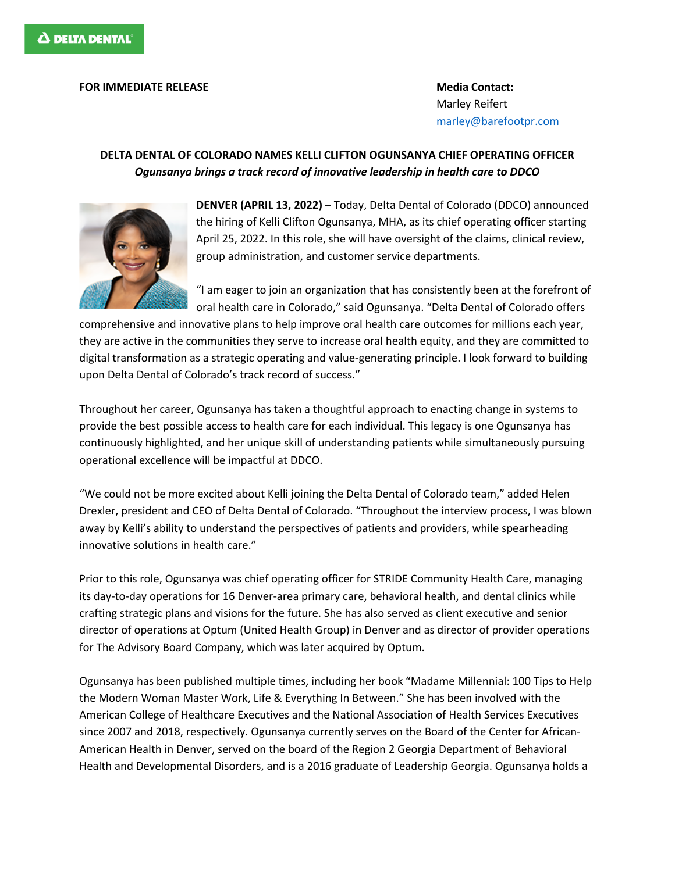## **FOR IMMEDIATE RELEASE Media Contact:**

Marley Reifert marley@barefootpr.com

## **DELTA DENTAL OF COLORADO NAMES KELLI CLIFTON OGUNSANYA CHIEF OPERATING OFFICER** *Ogunsanya brings a track record of innovative leadership in health care to DDCO*



**DENVER (APRIL 13, 2022)** – Today, Delta Dental of Colorado (DDCO) announced the hiring of Kelli Clifton Ogunsanya, MHA, as its chief operating officer starting April 25, 2022. In this role, she will have oversight of the claims, clinical review, group administration, and customer service departments.

"I am eager to join an organization that has consistently been at the forefront of oral health care in Colorado," said Ogunsanya. "Delta Dental of Colorado offers

comprehensive and innovative plans to help improve oral health care outcomes for millions each year, they are active in the communities they serve to increase oral health equity, and they are committed to digital transformation as a strategic operating and value-generating principle. I look forward to building upon Delta Dental of Colorado's track record of success."

Throughout her career, Ogunsanya has taken a thoughtful approach to enacting change in systems to provide the best possible access to health care for each individual. This legacy is one Ogunsanya has continuously highlighted, and her unique skill of understanding patients while simultaneously pursuing operational excellence will be impactful at DDCO.

"We could not be more excited about Kelli joining the Delta Dental of Colorado team," added Helen Drexler, president and CEO of Delta Dental of Colorado. "Throughout the interview process, I was blown away by Kelli's ability to understand the perspectives of patients and providers, while spearheading innovative solutions in health care."

Prior to this role, Ogunsanya was chief operating officer for STRIDE Community Health Care, managing its day-to-day operations for 16 Denver-area primary care, behavioral health, and dental clinics while crafting strategic plans and visions for the future. She has also served as client executive and senior director of operations at Optum (United Health Group) in Denver and as director of provider operations for The Advisory Board Company, which was later acquired by Optum.

Ogunsanya has been published multiple times, including her book "Madame Millennial: 100 Tips to Help the Modern Woman Master Work, Life & Everything In Between." She has been involved with the American College of Healthcare Executives and the National Association of Health Services Executives since 2007 and 2018, respectively. Ogunsanya currently serves on the Board of the Center for African-American Health in Denver, served on the board of the Region 2 Georgia Department of Behavioral Health and Developmental Disorders, and is a 2016 graduate of Leadership Georgia. Ogunsanya holds a